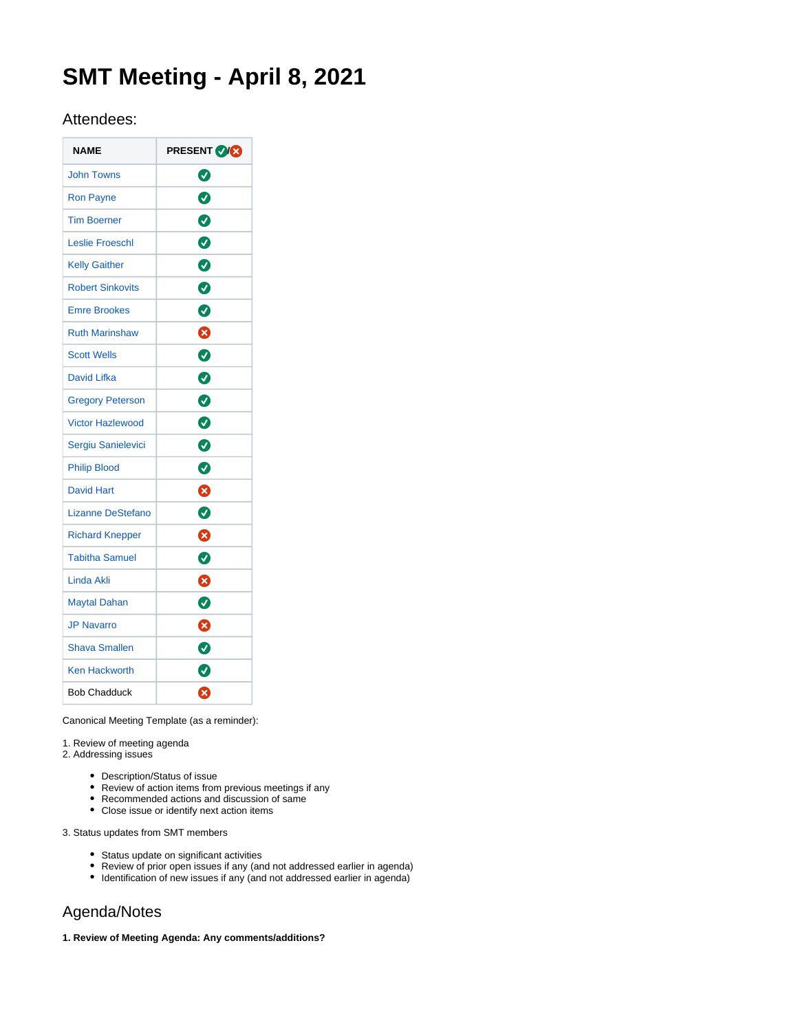# **SMT Meeting - April 8, 2021**

# Attendees:

| <b>NAME</b>              | <b>PRESENT VICE</b> |
|--------------------------|---------------------|
| <b>John Towns</b>        | ❼                   |
| <b>Ron Payne</b>         | 0                   |
| <b>Tim Boerner</b>       | 0                   |
| <b>Leslie Froeschl</b>   | $\bullet$           |
| <b>Kelly Gaither</b>     | 0                   |
| <b>Robert Sinkovits</b>  | Ø                   |
| <b>Emre Brookes</b>      | $\bullet$           |
| <b>Ruth Marinshaw</b>    | ☺                   |
| <b>Scott Wells</b>       | $\bullet$           |
| <b>David Lifka</b>       | 0                   |
| <b>Gregory Peterson</b>  | $\bullet$           |
| <b>Victor Hazlewood</b>  | $\bullet$           |
| Sergiu Sanielevici       | Ø                   |
| <b>Philip Blood</b>      | Ø                   |
| <b>David Hart</b>        | Ø                   |
| <b>Lizanne DeStefano</b> | ◙                   |
| <b>Richard Knepper</b>   | 0                   |
| <b>Tabitha Samuel</b>    | Ø                   |
| <b>Linda Akli</b>        | Ø                   |
| <b>Maytal Dahan</b>      | Ø                   |
| <b>JP Navarro</b>        | Ø                   |
| <b>Shava Smallen</b>     | 0                   |
| <b>Ken Hackworth</b>     | Ø                   |
| <b>Bob Chadduck</b>      | ظ                   |

Canonical Meeting Template (as a reminder):

1. Review of meeting agenda

2. Addressing issues

- Description/Status of issue
- Review of action items from previous meetings if any
- Recommended actions and discussion of same
- Close issue or identify next action items

3. Status updates from SMT members

- Status update on significant activities
- Review of prior open issues if any (and not addressed earlier in agenda)
- Identification of new issues if any (and not addressed earlier in agenda)

# Agenda/Notes

**1. Review of Meeting Agenda: Any comments/additions?**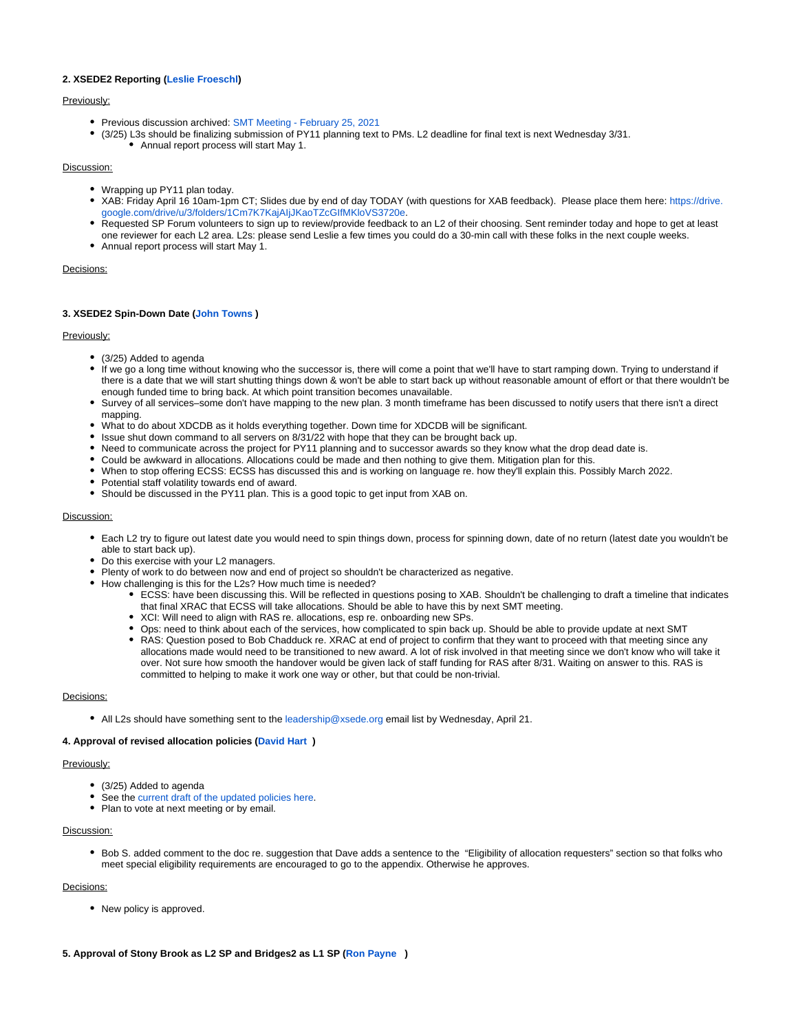# **2. XSEDE2 Reporting [\(Leslie Froeschl\)](https://confluence.xsede.org/display/~lfroesch)**

# Previously:

- Previous discussion archived: [SMT Meeting February 25, 2021](https://confluence.xsede.org/display/XT/SMT+Meeting+-+February+25%2C+2021)
- (3/25) L3s should be finalizing submission of PY11 planning text to PMs. L2 deadline for final text is next Wednesday 3/31. Annual report process will start May 1.

### Discussion:

- Wrapping up PY11 plan today.
- XAB: Friday April 16 10am-1pm CT; Slides due by end of day TODAY (with questions for XAB feedback). Please place them here: [https://drive.](https://drive.google.com/drive/u/3/folders/1Cm7K7KajAIjJKaoTZcGIfMKloVS3720e) [google.com/drive/u/3/folders/1Cm7K7KajAIjJKaoTZcGIfMKloVS3720e](https://drive.google.com/drive/u/3/folders/1Cm7K7KajAIjJKaoTZcGIfMKloVS3720e).
- Requested SP Forum volunteers to sign up to review/provide feedback to an L2 of their choosing. Sent reminder today and hope to get at least one reviewer for each L2 area. L2s: please send Leslie a few times you could do a 30-min call with these folks in the next couple weeks.
- Annual report process will start May 1.

# Decisions:

# **3. XSEDE2 Spin-Down Date [\(John Towns](https://confluence.xsede.org/display/~jtowns) )**

# Previously:

- (3/25) Added to agenda
- If we go a long time without knowing who the successor is, there will come a point that we'll have to start ramping down. Trying to understand if there is a date that we will start shutting things down & won't be able to start back up without reasonable amount of effort or that there wouldn't be enough funded time to bring back. At which point transition becomes unavailable.
- Survey of all services–some don't have mapping to the new plan. 3 month timeframe has been discussed to notify users that there isn't a direct mapping.
- What to do about XDCDB as it holds everything together. Down time for XDCDB will be significant.
- Issue shut down command to all servers on  $8/31/22$  with hope that they can be brought back up.
- Need to communicate across the project for PY11 planning and to successor awards so they know what the drop dead date is.
- Could be awkward in allocations. Allocations could be made and then nothing to give them. Mitigation plan for this.
- When to stop offering ECSS: ECSS has discussed this and is working on language re. how they'll explain this. Possibly March 2022.
- Potential staff volatility towards end of award.
- Should be discussed in the PY11 plan. This is a good topic to get input from XAB on.

# Discussion:

- Each L2 try to figure out latest date you would need to spin things down, process for spinning down, date of no return (latest date you wouldn't be able to start back up).
- Do this exercise with your L2 managers.
- Plenty of work to do between now and end of project so shouldn't be characterized as negative.
- How challenging is this for the L2s? How much time is needed?
	- ECSS: have been discussing this. Will be reflected in questions posing to XAB. Shouldn't be challenging to draft a timeline that indicates that final XRAC that ECSS will take allocations. Should be able to have this by next SMT meeting.
		- XCI: Will need to align with RAS re. allocations, esp re. onboarding new SPs.
	- Ops: need to think about each of the services, how complicated to spin back up. Should be able to provide update at next SMT
	- RAS: Question posed to Bob Chadduck re. XRAC at end of project to confirm that they want to proceed with that meeting since any allocations made would need to be transitioned to new award. A lot of risk involved in that meeting since we don't know who will take it over. Not sure how smooth the handover would be given lack of staff funding for RAS after 8/31. Waiting on answer to this. RAS is committed to helping to make it work one way or other, but that could be non-trivial.

#### Decisions:

• All L2s should have something sent to the [leadership@xsede.org](mailto:leadership@xsede.org) email list by Wednesday, April 21.

#### **4. Approval of revised allocation policies [\(David Hart](https://confluence.xsede.org/display/~davidlh) )**

# Previously:

- (3/25) Added to agenda
- See the [current draft of the updated policies here.](https://urldefense.com/v3/__https:/docs.google.com/document/d/1vyJ_33l2-DmOSMCveeGQqxIFyYrvFsnjyIOs-lhaxEo/edit*heading=h.mtuv0udqfxsk__;Iw!!DZ3fjg!pIMn1oLQB5C4F3BeFKvUrFxjyn3CZR5Dt60d1rJ1DbmjMeqY_xV3FxfVt3vjtCigST4$)
- Plan to vote at next meeting or by email.

# Discussion:

• Bob S. added comment to the doc re. suggestion that Dave adds a sentence to the "Eligibility of allocation requesters" section so that folks who meet special eligibility requirements are encouraged to go to the appendix. Otherwise he approves.

# Decisions:

- New policy is approved.
- **5. Approval of Stony Brook as L2 SP and Bridges2 as L1 SP ([Ron Payne](https://confluence.xsede.org/display/~rpayne) )**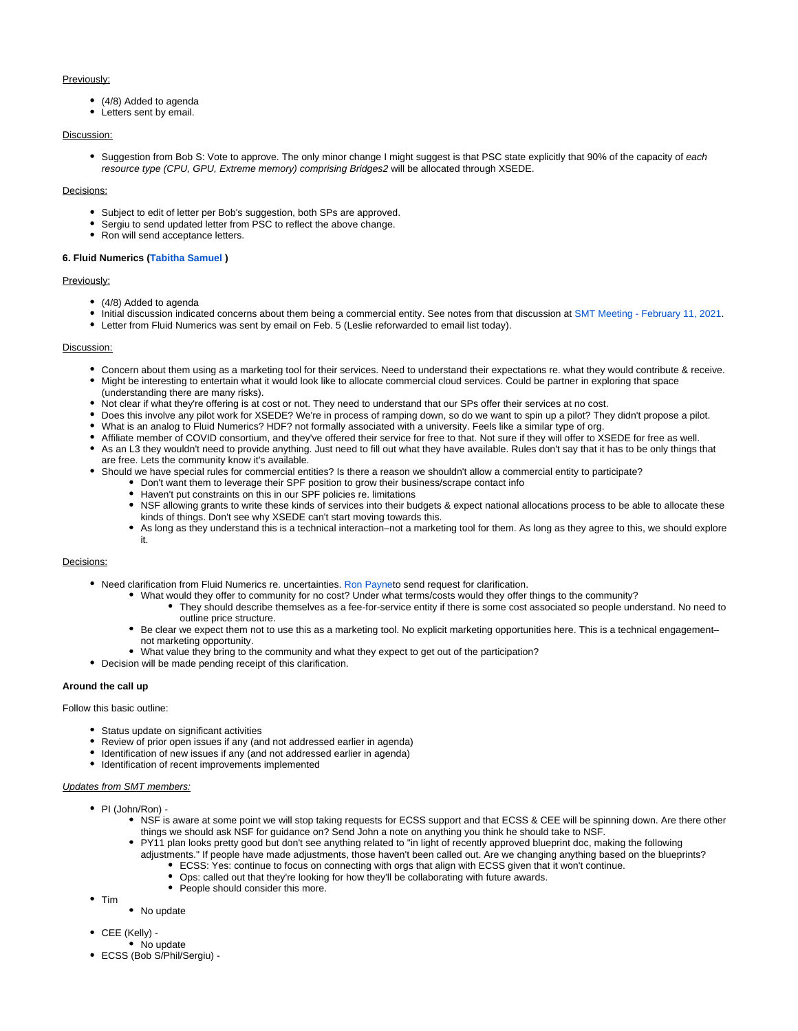# Previously:

- (4/8) Added to agenda
- Letters sent by email.

# Discussion:

• Suggestion from Bob S: Vote to approve. The only minor change I might suggest is that PSC state explicitly that 90% of the capacity of each resource type (CPU, GPU, Extreme memory) comprising Bridges2 will be allocated through XSEDE.

# Decisions:

- Subject to edit of letter per Bob's suggestion, both SPs are approved.
- Sergiu to send updated letter from PSC to reflect the above change.
- Ron will send acceptance letters.

# **6. Fluid Numerics [\(Tabitha Samuel](https://confluence.xsede.org/display/~tsamuel) )**

# Previously:

- (4/8) Added to agenda
- Initial discussion indicated concerns about them being a commercial entity. See notes from that discussion at [SMT Meeting February 11, 2021.](https://confluence.xsede.org/display/XT/SMT+Meeting+-+February+11%2C+2021)
- Letter from Fluid Numerics was sent by email on Feb. 5 (Leslie reforwarded to email list today).

# Discussion:

- Concern about them using as a marketing tool for their services. Need to understand their expectations re. what they would contribute & receive.
- Might be interesting to entertain what it would look like to allocate commercial cloud services. Could be partner in exploring that space (understanding there are many risks).
- Not clear if what they're offering is at cost or not. They need to understand that our SPs offer their services at no cost.
- Does this involve any pilot work for XSEDE? We're in process of ramping down, so do we want to spin up a pilot? They didn't propose a pilot.
- What is an analog to Fluid Numerics? HDF? not formally associated with a university. Feels like a similar type of org.
- Affiliate member of COVID consortium, and they've offered their service for free to that. Not sure if they will offer to XSEDE for free as well.
- As an L3 they wouldn't need to provide anything. Just need to fill out what they have available. Rules don't say that it has to be only things that are free. Lets the community know it's available.
- Should we have special rules for commercial entities? Is there a reason we shouldn't allow a commercial entity to participate?
	- Don't want them to leverage their SPF position to grow their business/scrape contact info
		- Haven't put constraints on this in our SPF policies re. limitations
		- NSF allowing grants to write these kinds of services into their budgets & expect national allocations process to be able to allocate these kinds of things. Don't see why XSEDE can't start moving towards this.
		- As long as they understand this is a technical interaction–not a marketing tool for them. As long as they agree to this, we should explore it.

#### Decisions:

- Need clarification from Fluid Numerics re. uncertainties. [Ron Payne](https://confluence.xsede.org/display/~rpayne)to send request for clarification.
	- What would they offer to community for no cost? Under what terms/costs would they offer things to the community?
		- They should describe themselves as a fee-for-service entity if there is some cost associated so people understand. No need to outline price structure.
		- Be clear we expect them not to use this as a marketing tool. No explicit marketing opportunities here. This is a technical engagement– not marketing opportunity.
		- What value they bring to the community and what they expect to get out of the participation?
- Decision will be made pending receipt of this clarification.

# **Around the call up**

#### Follow this basic outline:

- Status update on significant activities
- Review of prior open issues if any (and not addressed earlier in agenda)
- Identification of new issues if any (and not addressed earlier in agenda)
- $\bullet$  Identification of recent improvements implemented

# Updates from SMT members:

- PI (John/Ron) -
	- NSF is aware at some point we will stop taking requests for ECSS support and that ECSS & CEE will be spinning down. Are there other things we should ask NSF for guidance on? Send John a note on anything you think he should take to NSF.
	- PY11 plan looks pretty good but don't see anything related to "in light of recently approved blueprint doc, making the following adjustments." If people have made adjustments, those haven't been called out. Are we changing anything based on the blueprints?
		- ECSS: Yes: continue to focus on connecting with orgs that align with ECSS given that it won't continue.
		- Ops: called out that they're looking for how they'll be collaborating with future awards.
		- People should consider this more.
- $\bullet$  Tim

• No update

- CEE (Kelly) -
- No update
- ECSS (Bob S/Phil/Sergiu) -